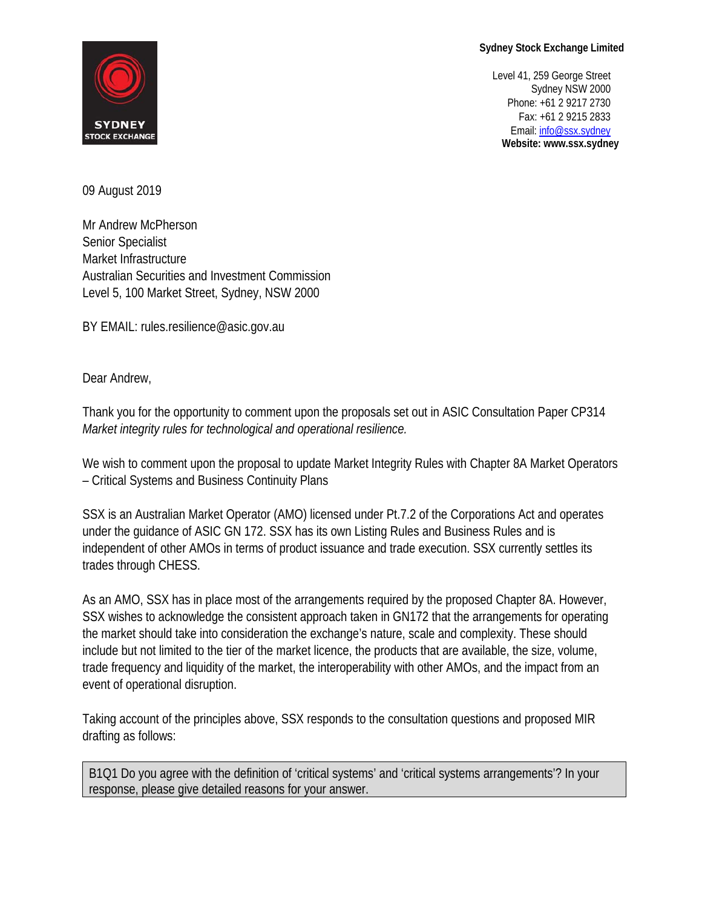## **Sydney Stock Exchange Limited**



 Level 41, 259 George Street Sydney NSW 2000 Phone: +61 2 9217 2730 Fax: +61 2 9215 2833 STENET<br>STOCK EXCHANGE **Website: www.ssx.sydney**

09 August 2019

Mr Andrew McPherson Senior Specialist Market Infrastructure Australian Securities and Investment Commission Level 5, 100 Market Street, Sydney, NSW 2000

BY EMAIL: rules.resilience@asic.gov.au

Dear Andrew,

Thank you for the opportunity to comment upon the proposals set out in ASIC Consultation Paper CP314 *Market integrity rules for technological and operational resilience.*

We wish to comment upon the proposal to update Market Integrity Rules with Chapter 8A Market Operators – Critical Systems and Business Continuity Plans

SSX is an Australian Market Operator (AMO) licensed under Pt.7.2 of the Corporations Act and operates under the guidance of ASIC GN 172. SSX has its own Listing Rules and Business Rules and is independent of other AMOs in terms of product issuance and trade execution. SSX currently settles its trades through CHESS.

As an AMO, SSX has in place most of the arrangements required by the proposed Chapter 8A. However, SSX wishes to acknowledge the consistent approach taken in GN172 that the arrangements for operating the market should take into consideration the exchange's nature, scale and complexity. These should include but not limited to the tier of the market licence, the products that are available, the size, volume, trade frequency and liquidity of the market, the interoperability with other AMOs, and the impact from an event of operational disruption.

Taking account of the principles above, SSX responds to the consultation questions and proposed MIR drafting as follows:

B1Q1 Do you agree with the definition of 'critical systems' and 'critical systems arrangements'? In your response, please give detailed reasons for your answer.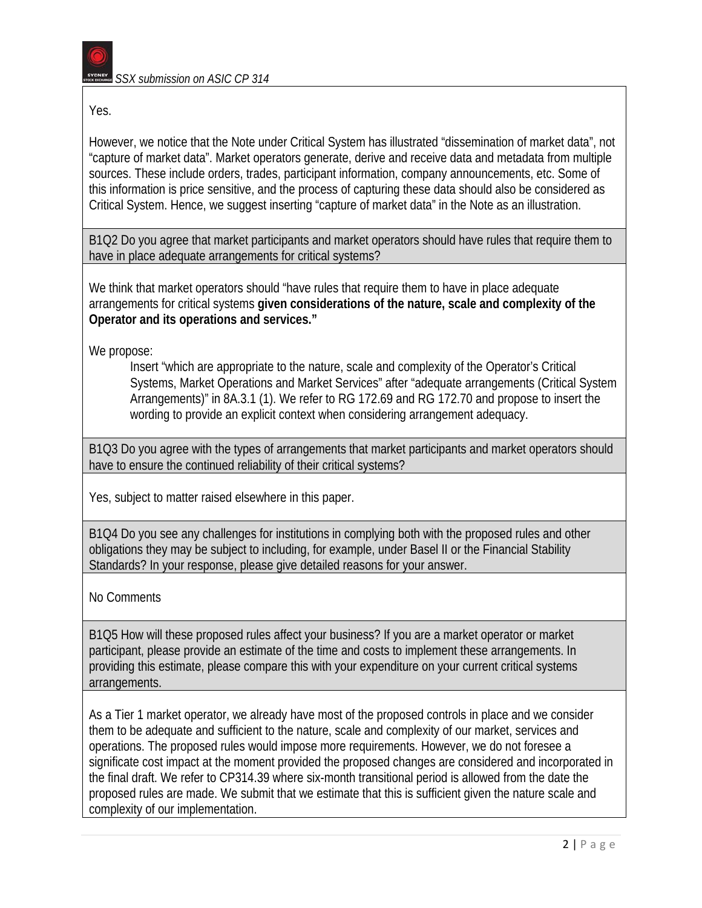

Yes.

However, we notice that the Note under Critical System has illustrated "dissemination of market data", not "capture of market data". Market operators generate, derive and receive data and metadata from multiple sources. These include orders, trades, participant information, company announcements, etc. Some of this information is price sensitive, and the process of capturing these data should also be considered as Critical System. Hence, we suggest inserting "capture of market data" in the Note as an illustration.

B1Q2 Do you agree that market participants and market operators should have rules that require them to have in place adequate arrangements for critical systems?

We think that market operators should "have rules that require them to have in place adequate arrangements for critical systems **given considerations of the nature, scale and complexity of the Operator and its operations and services."** 

We propose:

Insert "which are appropriate to the nature, scale and complexity of the Operator's Critical Systems, Market Operations and Market Services" after "adequate arrangements (Critical System Arrangements)" in 8A.3.1 (1). We refer to RG 172.69 and RG 172.70 and propose to insert the wording to provide an explicit context when considering arrangement adequacy.

B1Q3 Do you agree with the types of arrangements that market participants and market operators should have to ensure the continued reliability of their critical systems?

Yes, subject to matter raised elsewhere in this paper.

B1Q4 Do you see any challenges for institutions in complying both with the proposed rules and other obligations they may be subject to including, for example, under Basel II or the Financial Stability Standards? In your response, please give detailed reasons for your answer.

No Comments

B1Q5 How will these proposed rules affect your business? If you are a market operator or market participant, please provide an estimate of the time and costs to implement these arrangements. In providing this estimate, please compare this with your expenditure on your current critical systems arrangements.

As a Tier 1 market operator, we already have most of the proposed controls in place and we consider them to be adequate and sufficient to the nature, scale and complexity of our market, services and operations. The proposed rules would impose more requirements. However, we do not foresee a significate cost impact at the moment provided the proposed changes are considered and incorporated in the final draft. We refer to CP314.39 where six-month transitional period is allowed from the date the proposed rules are made. We submit that we estimate that this is sufficient given the nature scale and complexity of our implementation.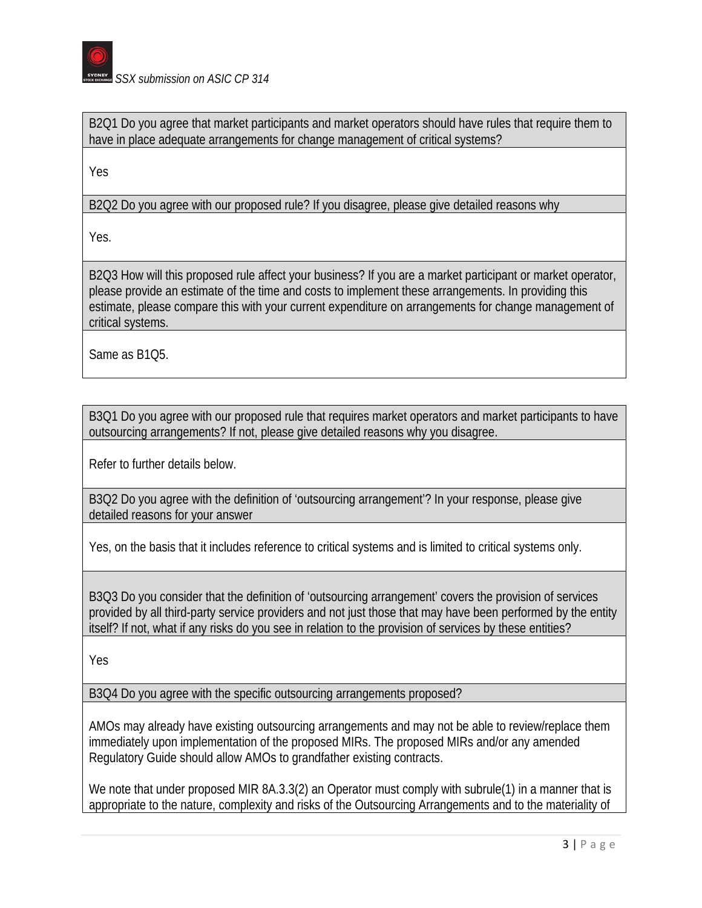

B2Q1 Do you agree that market participants and market operators should have rules that require them to have in place adequate arrangements for change management of critical systems?

Yes

B2Q2 Do you agree with our proposed rule? If you disagree, please give detailed reasons why

Yes.

B2Q3 How will this proposed rule affect your business? If you are a market participant or market operator, please provide an estimate of the time and costs to implement these arrangements. In providing this estimate, please compare this with your current expenditure on arrangements for change management of critical systems.

Same as B1Q5.

B3Q1 Do you agree with our proposed rule that requires market operators and market participants to have outsourcing arrangements? If not, please give detailed reasons why you disagree.

Refer to further details below.

B3Q2 Do you agree with the definition of 'outsourcing arrangement'? In your response, please give detailed reasons for your answer

Yes, on the basis that it includes reference to critical systems and is limited to critical systems only.

B3Q3 Do you consider that the definition of 'outsourcing arrangement' covers the provision of services provided by all third-party service providers and not just those that may have been performed by the entity itself? If not, what if any risks do you see in relation to the provision of services by these entities?

Yes

B3Q4 Do you agree with the specific outsourcing arrangements proposed?

AMOs may already have existing outsourcing arrangements and may not be able to review/replace them immediately upon implementation of the proposed MIRs. The proposed MIRs and/or any amended Regulatory Guide should allow AMOs to grandfather existing contracts.

We note that under proposed MIR 8A.3.3(2) an Operator must comply with subrule(1) in a manner that is appropriate to the nature, complexity and risks of the Outsourcing Arrangements and to the materiality of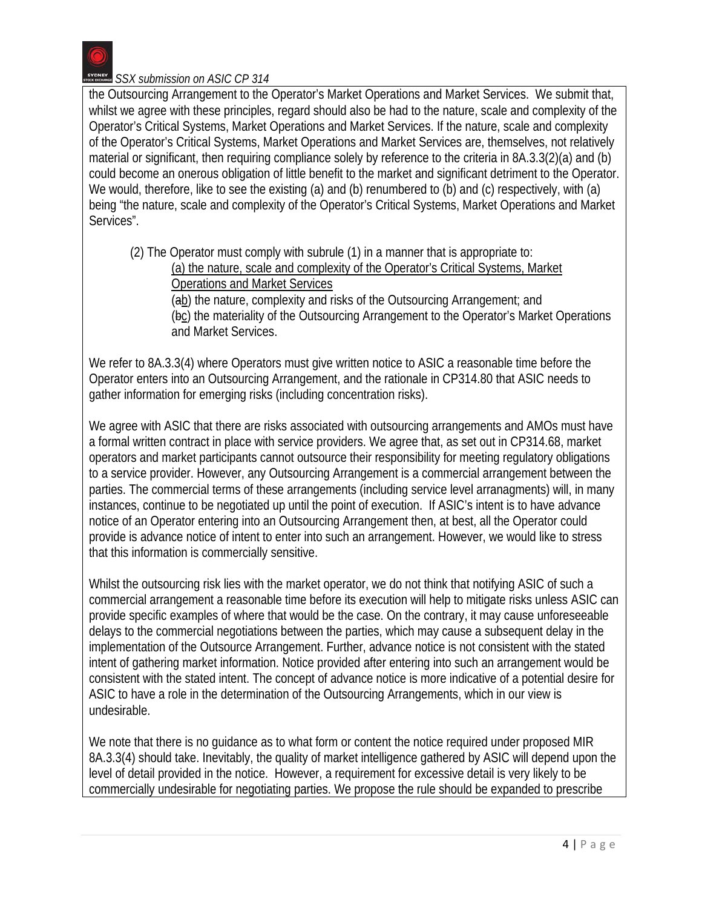the Outsourcing Arrangement to the Operator's Market Operations and Market Services. We submit that, whilst we agree with these principles, regard should also be had to the nature, scale and complexity of the Operator's Critical Systems, Market Operations and Market Services. If the nature, scale and complexity of the Operator's Critical Systems, Market Operations and Market Services are, themselves, not relatively material or significant, then requiring compliance solely by reference to the criteria in 8A.3.3(2)(a) and (b) could become an onerous obligation of little benefit to the market and significant detriment to the Operator. We would, therefore, like to see the existing (a) and (b) renumbered to (b) and (c) respectively, with (a) being "the nature, scale and complexity of the Operator's Critical Systems, Market Operations and Market Services".

(2) The Operator must comply with subrule (1) in a manner that is appropriate to: (a) the nature, scale and complexity of the Operator's Critical Systems, Market Operations and Market Services (ab) the nature, complexity and risks of the Outsourcing Arrangement; and (bc) the materiality of the Outsourcing Arrangement to the Operator's Market Operations and Market Services.

We refer to 8A.3.3(4) where Operators must give written notice to ASIC a reasonable time before the Operator enters into an Outsourcing Arrangement, and the rationale in CP314.80 that ASIC needs to gather information for emerging risks (including concentration risks).

We agree with ASIC that there are risks associated with outsourcing arrangements and AMOs must have a formal written contract in place with service providers. We agree that, as set out in CP314.68, market operators and market participants cannot outsource their responsibility for meeting regulatory obligations to a service provider. However, any Outsourcing Arrangement is a commercial arrangement between the parties. The commercial terms of these arrangements (including service level arranagments) will, in many instances, continue to be negotiated up until the point of execution. If ASIC's intent is to have advance notice of an Operator entering into an Outsourcing Arrangement then, at best, all the Operator could provide is advance notice of intent to enter into such an arrangement. However, we would like to stress that this information is commercially sensitive.

Whilst the outsourcing risk lies with the market operator, we do not think that notifying ASIC of such a commercial arrangement a reasonable time before its execution will help to mitigate risks unless ASIC can provide specific examples of where that would be the case. On the contrary, it may cause unforeseeable delays to the commercial negotiations between the parties, which may cause a subsequent delay in the implementation of the Outsource Arrangement. Further, advance notice is not consistent with the stated intent of gathering market information. Notice provided after entering into such an arrangement would be consistent with the stated intent. The concept of advance notice is more indicative of a potential desire for ASIC to have a role in the determination of the Outsourcing Arrangements, which in our view is undesirable.

We note that there is no guidance as to what form or content the notice required under proposed MIR 8A.3.3(4) should take. Inevitably, the quality of market intelligence gathered by ASIC will depend upon the level of detail provided in the notice. However, a requirement for excessive detail is very likely to be commercially undesirable for negotiating parties. We propose the rule should be expanded to prescribe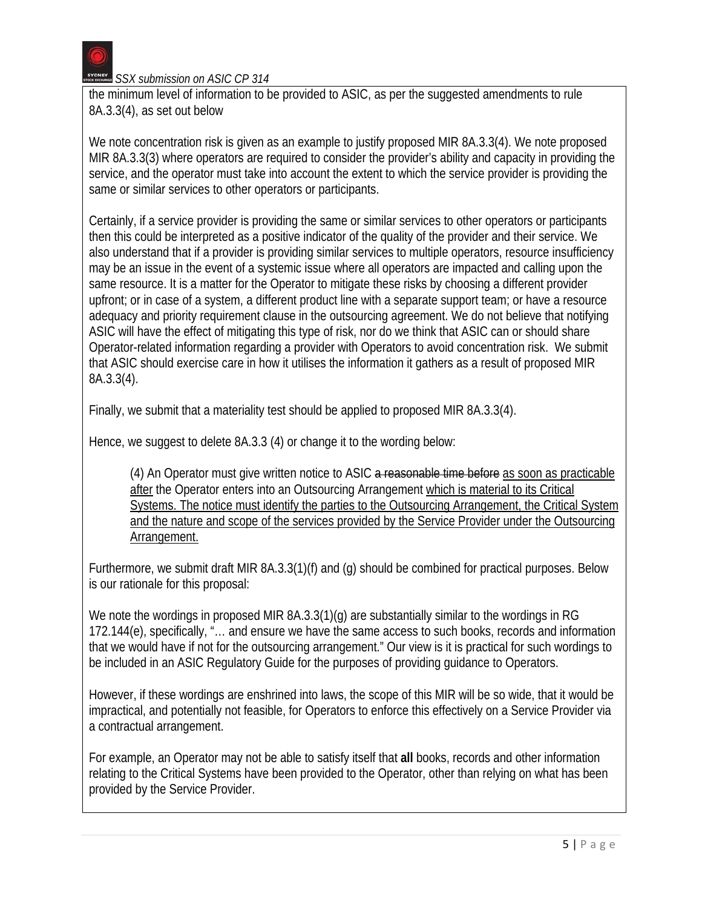

the minimum level of information to be provided to ASIC, as per the suggested amendments to rule 8A.3.3(4), as set out below

We note concentration risk is given as an example to justify proposed MIR 8A.3.3(4). We note proposed MIR 8A.3.3(3) where operators are required to consider the provider's ability and capacity in providing the service, and the operator must take into account the extent to which the service provider is providing the same or similar services to other operators or participants.

Certainly, if a service provider is providing the same or similar services to other operators or participants then this could be interpreted as a positive indicator of the quality of the provider and their service. We also understand that if a provider is providing similar services to multiple operators, resource insufficiency may be an issue in the event of a systemic issue where all operators are impacted and calling upon the same resource. It is a matter for the Operator to mitigate these risks by choosing a different provider upfront; or in case of a system, a different product line with a separate support team; or have a resource adequacy and priority requirement clause in the outsourcing agreement. We do not believe that notifying ASIC will have the effect of mitigating this type of risk, nor do we think that ASIC can or should share Operator-related information regarding a provider with Operators to avoid concentration risk. We submit that ASIC should exercise care in how it utilises the information it gathers as a result of proposed MIR 8A.3.3(4).

Finally, we submit that a materiality test should be applied to proposed MIR 8A.3.3(4).

Hence, we suggest to delete 8A.3.3 (4) or change it to the wording below:

(4) An Operator must give written notice to ASIC a reasonable time before as soon as practicable after the Operator enters into an Outsourcing Arrangement which is material to its Critical Systems. The notice must identify the parties to the Outsourcing Arrangement, the Critical System and the nature and scope of the services provided by the Service Provider under the Outsourcing Arrangement.

Furthermore, we submit draft MIR 8A.3.3(1)(f) and (g) should be combined for practical purposes. Below is our rationale for this proposal:

We note the wordings in proposed MIR 8A.3.3(1)(g) are substantially similar to the wordings in RG 172.144(e), specifically, "… and ensure we have the same access to such books, records and information that we would have if not for the outsourcing arrangement." Our view is it is practical for such wordings to be included in an ASIC Regulatory Guide for the purposes of providing guidance to Operators.

However, if these wordings are enshrined into laws, the scope of this MIR will be so wide, that it would be impractical, and potentially not feasible, for Operators to enforce this effectively on a Service Provider via a contractual arrangement.

For example, an Operator may not be able to satisfy itself that **all** books, records and other information relating to the Critical Systems have been provided to the Operator, other than relying on what has been provided by the Service Provider.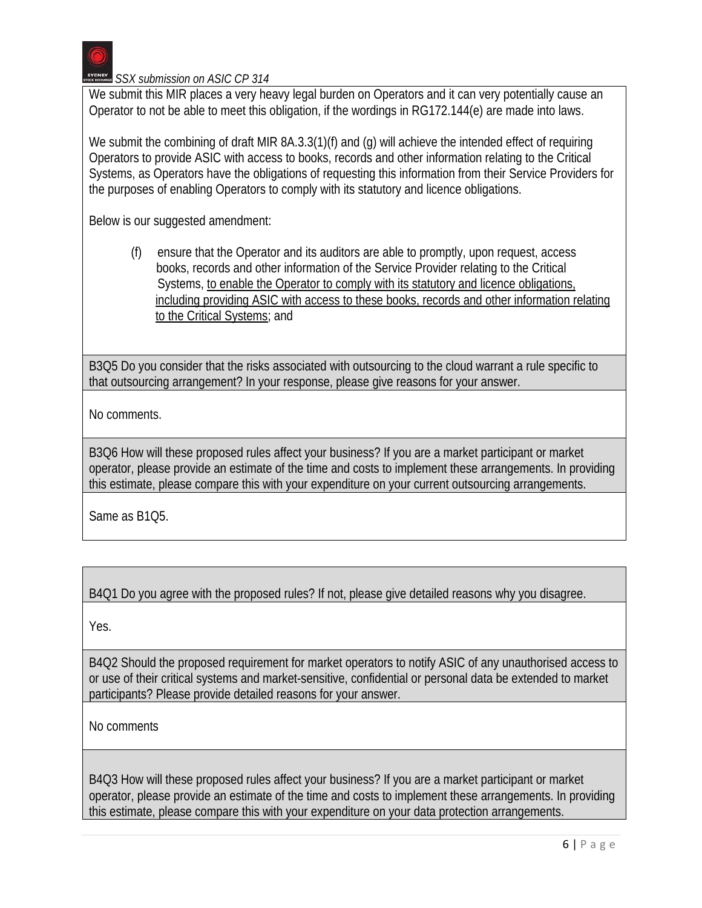

We submit this MIR places a very heavy legal burden on Operators and it can very potentially cause an Operator to not be able to meet this obligation, if the wordings in RG172.144(e) are made into laws.

We submit the combining of draft MIR 8A.3.3(1)(f) and (g) will achieve the intended effect of requiring Operators to provide ASIC with access to books, records and other information relating to the Critical Systems, as Operators have the obligations of requesting this information from their Service Providers for the purposes of enabling Operators to comply with its statutory and licence obligations.

Below is our suggested amendment:

(f) ensure that the Operator and its auditors are able to promptly, upon request, access books, records and other information of the Service Provider relating to the Critical Systems, to enable the Operator to comply with its statutory and licence obligations, including providing ASIC with access to these books, records and other information relating to the Critical Systems; and

B3Q5 Do you consider that the risks associated with outsourcing to the cloud warrant a rule specific to that outsourcing arrangement? In your response, please give reasons for your answer.

No comments.

B3Q6 How will these proposed rules affect your business? If you are a market participant or market operator, please provide an estimate of the time and costs to implement these arrangements. In providing this estimate, please compare this with your expenditure on your current outsourcing arrangements.

Same as B1Q5.

B4Q1 Do you agree with the proposed rules? If not, please give detailed reasons why you disagree.

Yes.

B4Q2 Should the proposed requirement for market operators to notify ASIC of any unauthorised access to or use of their critical systems and market-sensitive, confidential or personal data be extended to market participants? Please provide detailed reasons for your answer.

No comments

B4Q3 How will these proposed rules affect your business? If you are a market participant or market operator, please provide an estimate of the time and costs to implement these arrangements. In providing this estimate, please compare this with your expenditure on your data protection arrangements.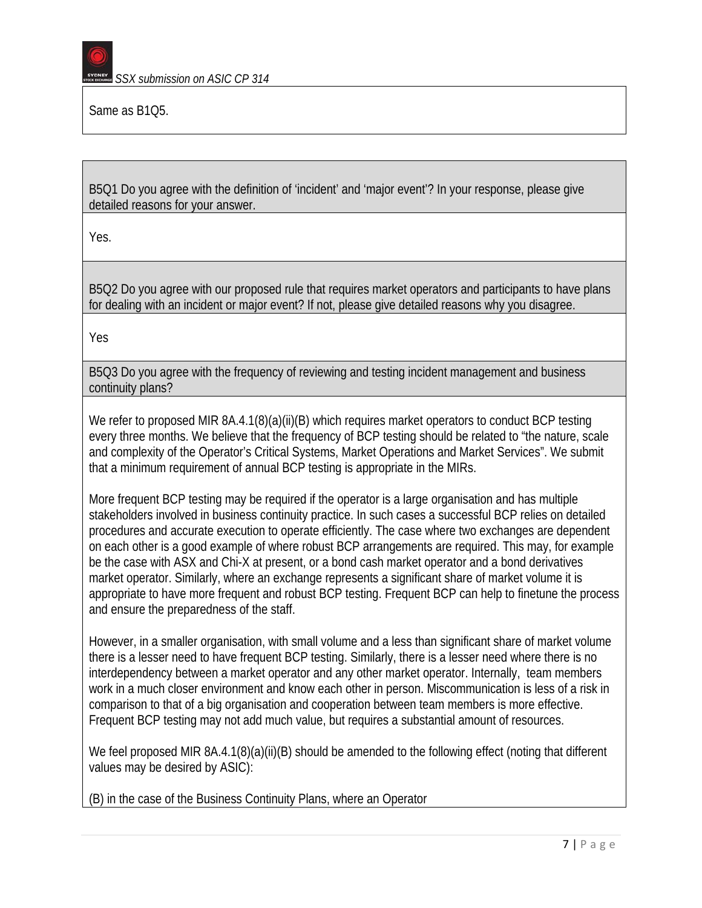

Same as B1Q5.

B5Q1 Do you agree with the definition of 'incident' and 'major event'? In your response, please give detailed reasons for your answer.

Yes.

B5Q2 Do you agree with our proposed rule that requires market operators and participants to have plans for dealing with an incident or major event? If not, please give detailed reasons why you disagree.

Yes

B5Q3 Do you agree with the frequency of reviewing and testing incident management and business continuity plans?

We refer to proposed MIR 8A.4.1(8)(a)(ii)(B) which requires market operators to conduct BCP testing every three months. We believe that the frequency of BCP testing should be related to "the nature, scale and complexity of the Operator's Critical Systems, Market Operations and Market Services". We submit that a minimum requirement of annual BCP testing is appropriate in the MIRs.

More frequent BCP testing may be required if the operator is a large organisation and has multiple stakeholders involved in business continuity practice. In such cases a successful BCP relies on detailed procedures and accurate execution to operate efficiently. The case where two exchanges are dependent on each other is a good example of where robust BCP arrangements are required. This may, for example be the case with ASX and Chi-X at present, or a bond cash market operator and a bond derivatives market operator. Similarly, where an exchange represents a significant share of market volume it is appropriate to have more frequent and robust BCP testing. Frequent BCP can help to finetune the process and ensure the preparedness of the staff.

However, in a smaller organisation, with small volume and a less than significant share of market volume there is a lesser need to have frequent BCP testing. Similarly, there is a lesser need where there is no interdependency between a market operator and any other market operator. Internally, team members work in a much closer environment and know each other in person. Miscommunication is less of a risk in comparison to that of a big organisation and cooperation between team members is more effective. Frequent BCP testing may not add much value, but requires a substantial amount of resources.

We feel proposed MIR 8A.4.1(8)(a)(ii)(B) should be amended to the following effect (noting that different values may be desired by ASIC):

(B) in the case of the Business Continuity Plans, where an Operator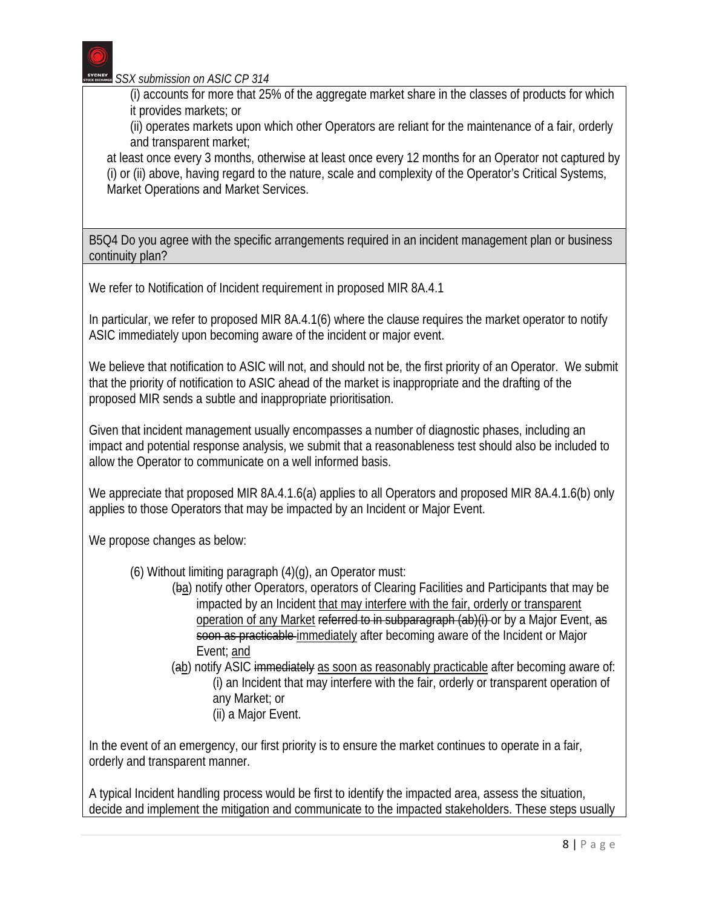(i) accounts for more that 25% of the aggregate market share in the classes of products for which it provides markets; or

(ii) operates markets upon which other Operators are reliant for the maintenance of a fair, orderly and transparent market;

at least once every 3 months, otherwise at least once every 12 months for an Operator not captured by (i) or (ii) above, having regard to the nature, scale and complexity of the Operator's Critical Systems, Market Operations and Market Services.

B5Q4 Do you agree with the specific arrangements required in an incident management plan or business continuity plan?

We refer to Notification of Incident requirement in proposed MIR 8A.4.1

In particular, we refer to proposed MIR 8A.4.1(6) where the clause requires the market operator to notify ASIC immediately upon becoming aware of the incident or major event.

We believe that notification to ASIC will not, and should not be, the first priority of an Operator. We submit that the priority of notification to ASIC ahead of the market is inappropriate and the drafting of the proposed MIR sends a subtle and inappropriate prioritisation.

Given that incident management usually encompasses a number of diagnostic phases, including an impact and potential response analysis, we submit that a reasonableness test should also be included to allow the Operator to communicate on a well informed basis.

We appreciate that proposed MIR 8A.4.1.6(a) applies to all Operators and proposed MIR 8A.4.1.6(b) only applies to those Operators that may be impacted by an Incident or Major Event.

We propose changes as below:

- (6) Without limiting paragraph (4)(g), an Operator must:
	- (ba) notify other Operators, operators of Clearing Facilities and Participants that may be impacted by an Incident that may interfere with the fair, orderly or transparent operation of any Market referred to in subparagraph (ab)(i) or by a Major Event, as soon as practicable immediately after becoming aware of the Incident or Major Event; and
	- (ab) notify ASIC immediately as soon as reasonably practicable after becoming aware of: (i) an Incident that may interfere with the fair, orderly or transparent operation of any Market; or (ii) a Major Event.

In the event of an emergency, our first priority is to ensure the market continues to operate in a fair, orderly and transparent manner.

A typical Incident handling process would be first to identify the impacted area, assess the situation, decide and implement the mitigation and communicate to the impacted stakeholders. These steps usually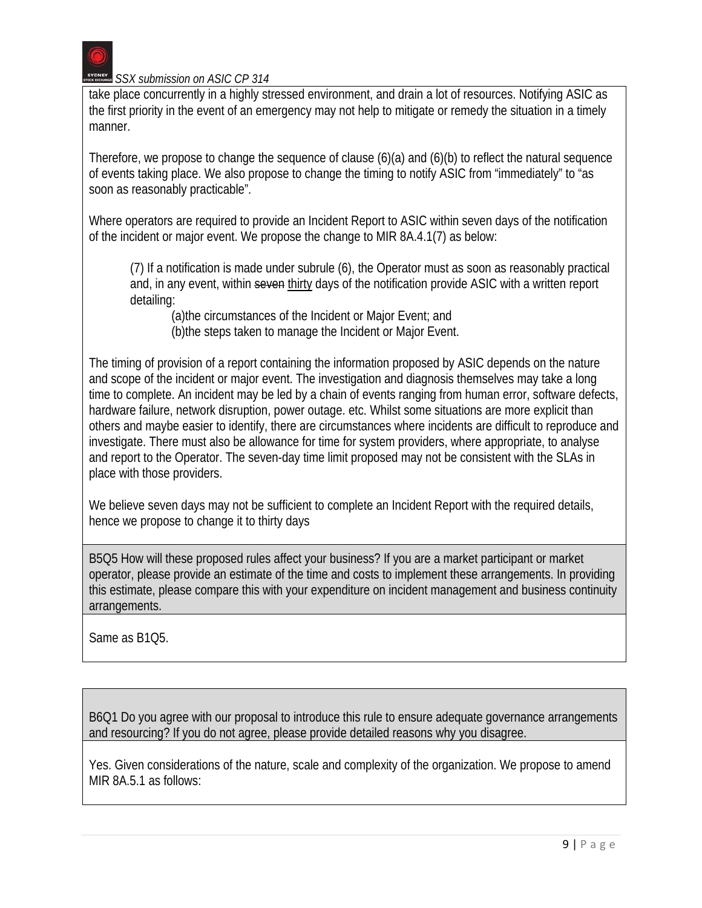

take place concurrently in a highly stressed environment, and drain a lot of resources. Notifying ASIC as the first priority in the event of an emergency may not help to mitigate or remedy the situation in a timely manner.

Therefore, we propose to change the sequence of clause (6)(a) and (6)(b) to reflect the natural sequence of events taking place. We also propose to change the timing to notify ASIC from "immediately" to "as soon as reasonably practicable".

Where operators are required to provide an Incident Report to ASIC within seven days of the notification of the incident or major event. We propose the change to MIR 8A.4.1(7) as below:

(7) If a notification is made under subrule (6), the Operator must as soon as reasonably practical and, in any event, within seven thirty days of the notification provide ASIC with a written report detailing:

(a)the circumstances of the Incident or Major Event; and (b)the steps taken to manage the Incident or Major Event.

The timing of provision of a report containing the information proposed by ASIC depends on the nature and scope of the incident or major event. The investigation and diagnosis themselves may take a long time to complete. An incident may be led by a chain of events ranging from human error, software defects, hardware failure, network disruption, power outage. etc. Whilst some situations are more explicit than others and maybe easier to identify, there are circumstances where incidents are difficult to reproduce and investigate. There must also be allowance for time for system providers, where appropriate, to analyse and report to the Operator. The seven-day time limit proposed may not be consistent with the SLAs in place with those providers.

We believe seven days may not be sufficient to complete an Incident Report with the required details, hence we propose to change it to thirty days

B5Q5 How will these proposed rules affect your business? If you are a market participant or market operator, please provide an estimate of the time and costs to implement these arrangements. In providing this estimate, please compare this with your expenditure on incident management and business continuity arrangements.

Same as B1Q5.

B6Q1 Do you agree with our proposal to introduce this rule to ensure adequate governance arrangements and resourcing? If you do not agree, please provide detailed reasons why you disagree.

Yes. Given considerations of the nature, scale and complexity of the organization. We propose to amend MIR 8A.5.1 as follows: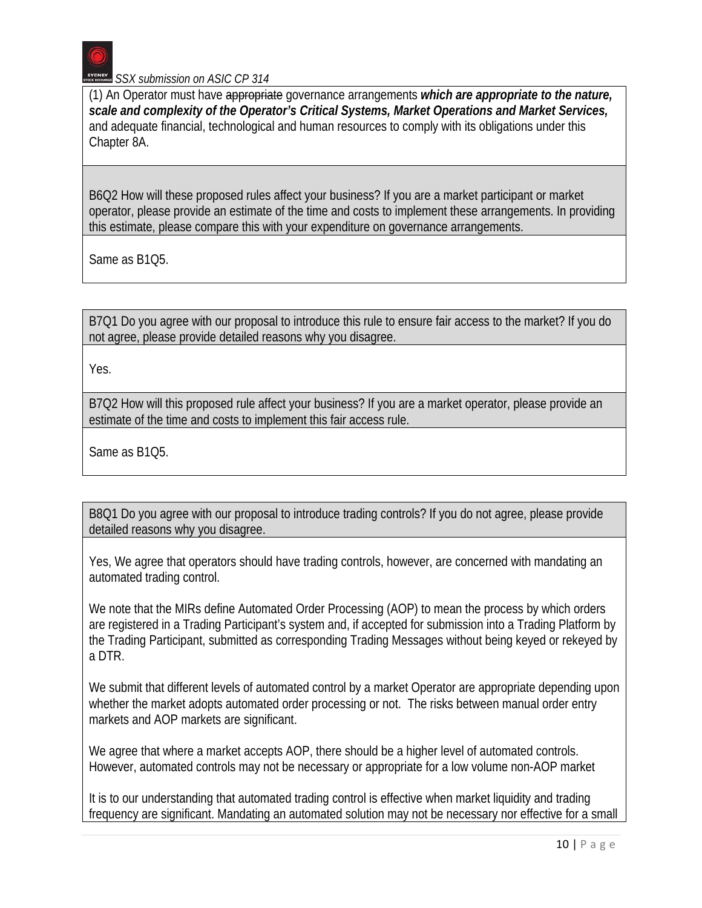(1) An Operator must have appropriate governance arrangements *which are appropriate to the nature, scale and complexity of the Operator's Critical Systems, Market Operations and Market Services,* and adequate financial, technological and human resources to comply with its obligations under this Chapter 8A.

B6Q2 How will these proposed rules affect your business? If you are a market participant or market operator, please provide an estimate of the time and costs to implement these arrangements. In providing this estimate, please compare this with your expenditure on governance arrangements.

Same as B1Q5.

B7Q1 Do you agree with our proposal to introduce this rule to ensure fair access to the market? If you do not agree, please provide detailed reasons why you disagree.

Yes.

B7Q2 How will this proposed rule affect your business? If you are a market operator, please provide an estimate of the time and costs to implement this fair access rule.

Same as B1Q5.

B8Q1 Do you agree with our proposal to introduce trading controls? If you do not agree, please provide detailed reasons why you disagree.

Yes, We agree that operators should have trading controls, however, are concerned with mandating an automated trading control.

We note that the MIRs define Automated Order Processing (AOP) to mean the process by which orders are registered in a Trading Participant's system and, if accepted for submission into a Trading Platform by the Trading Participant, submitted as corresponding Trading Messages without being keyed or rekeyed by a DTR.

We submit that different levels of automated control by a market Operator are appropriate depending upon whether the market adopts automated order processing or not. The risks between manual order entry markets and AOP markets are significant.

We agree that where a market accepts AOP, there should be a higher level of automated controls. However, automated controls may not be necessary or appropriate for a low volume non-AOP market

It is to our understanding that automated trading control is effective when market liquidity and trading frequency are significant. Mandating an automated solution may not be necessary nor effective for a small